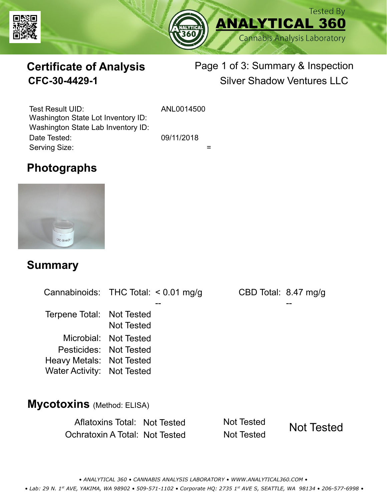



# **Certificate of Analysis**

# Page 1 of 3: Summary & Inspection **CFC-30-4429-1** Silver Shadow Ventures LLC

Serving Size:  $=$ Test Result UID: ANL0014500 Date Tested: 09/11/2018 Washington State Lot Inventory ID: Washington State Lab Inventory ID:

## **Photographs**



#### **Summary**

Cannabinoids: THC Total:  $< 0.01$  mg/g Terpene Total: Not Tested Microbial: Not Tested CBD Total: 8.47 mg/g Pesticides: Not Tested Heavy Metals: Not Tested -- -- Not Tested Water Activity: Not Tested **Mycotoxins** (Method: ELISA)

> Aflatoxins Total: Not Tested Not Tested Ochratoxin A Total: Not Tested Not Tested Not Tested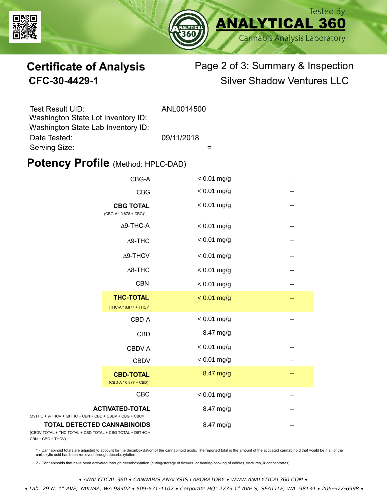



# **Certificate of Analysis** Page 2 of 3: Summary & Inspection **CFC-30-4429-1** Silver Shadow Ventures LLC

| <b>Test Result UID:</b>                                                  | ANL0014500 |
|--------------------------------------------------------------------------|------------|
| Washington State Lot Inventory ID:<br>Washington State Lab Inventory ID: |            |
| Date Tested:                                                             | 09/11/2018 |
| Serving Size:                                                            |            |

#### **Potency Profile (Method: HPLC-DAD)**

|                                                                                                 | CBG-A                                                  | $< 0.01$ mg/g | -- |
|-------------------------------------------------------------------------------------------------|--------------------------------------------------------|---------------|----|
|                                                                                                 | <b>CBG</b>                                             | $< 0.01$ mg/g | -- |
|                                                                                                 | <b>CBG TOTAL</b><br>$(CBG-A * 0.878 + CBG)^1$          | $< 0.01$ mg/g | -- |
|                                                                                                 | $\Delta$ 9-THC-A                                       | $< 0.01$ mg/g | -- |
|                                                                                                 | $\Delta$ 9-THC                                         | $< 0.01$ mg/g | -- |
|                                                                                                 | $\Delta$ 9-THCV                                        | $< 0.01$ mg/g | -- |
|                                                                                                 | $\Delta$ 8-THC                                         | $< 0.01$ mg/g | -- |
|                                                                                                 | <b>CBN</b>                                             | $< 0.01$ mg/g | -- |
|                                                                                                 | <b>THC-TOTAL</b><br>(THC-A * 0.877 + THC) <sup>1</sup> | $< 0.01$ mg/g | -- |
|                                                                                                 | CBD-A                                                  | $< 0.01$ mg/g | -- |
|                                                                                                 | <b>CBD</b>                                             | 8.47 mg/g     | -- |
|                                                                                                 | CBDV-A                                                 | $< 0.01$ mg/g | -- |
|                                                                                                 | <b>CBDV</b>                                            | $< 0.01$ mg/g | -- |
|                                                                                                 | <b>CBD-TOTAL</b><br>$(CBD-A * 0.877 + CBD)^1$          | 8.47 mg/g     | -- |
|                                                                                                 | <b>CBC</b>                                             | $< 0.01$ mg/g | -- |
| $(\Delta 9THC + 9-THCV + \Delta 8THC + CBN + CBD + CBDV + CBG + CBC)^2$                         | <b>ACTIVATED-TOTAL</b>                                 | 8.47 mg/g     |    |
| <b>TOTAL DETECTED CANNABINOIDS</b><br>(CBDV TOTAL + THC TOTAL + CBD TOTAL + CBG TOTAL + D8THC + |                                                        | 8.47 mg/g     |    |

(CBDV TOTAL + THC TOTAL CBN + CBC + THCV)

1 - Cannabinoid totals are adjusted to account for the decarboxylation of the cannabinoid acids. The reported total is the amount of the activated cannabinoid that would be if all of the<br>carboxylic acid has been removed th

2 - Cannabinoids that have been activated through decarboxylation (curing/storage of flowers, or heating/cooking of edibles, tinctures, & concentrates)

*• ANALYTICAL 360 • CANNABIS ANALYSIS LABORATORY • WWW.ANALYTICAL360.COM •*

 *• Lab: 29 N. 1st AVE, YAKIMA, WA 98902 • 509-571-1102 • Corporate HQ: 2735 1st AVE S, SEATTLE, WA 98134 • 206-577-6998 •*